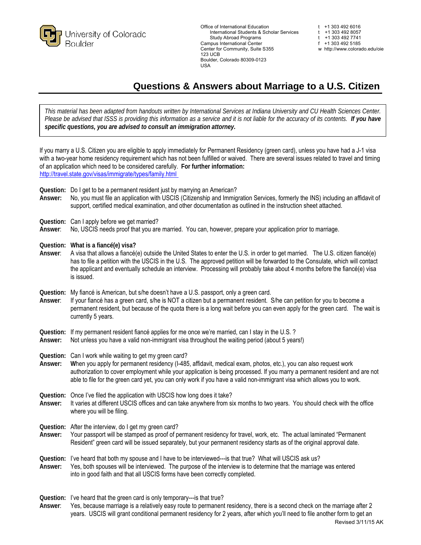

Office of International Education the match of the that of the International Students & Scholar Services the the 1303 492 8057 International Students & Scholar Services t +1 303 492 8057<br>Study Abroad Programs t +1 303 492 7741 Study Abroad Programs<br>
npus International Center
the Context Context Context Context Context Context Context Context Context Context<br>
f +1 303 492 5185 Campus International Center f = 1 303 492 5185<br>
Center for Community. Suite S355 f international with the Wester of Community. Suite S355 Center for Community, Suite S355 123 UCB Boulder, Colorado 80309-0123 USA

## **Questions & Answers about Marriage to a U.S. Citizen**

*This material has been adapted from handouts written by International Services at Indiana University and CU Health Sciences Center. Please be advised that ISSS is providing this information as a service and it is not liable for the accuracy of its contents. If you have specific questions, you are advised to consult an immigration attorney.*

If you marry a U.S. Citizen you are eligible to apply immediately for Permanent Residency (green card), unless you have had a J-1 visa with a two-year home residency requirement which has not been fulfilled or waived. There are several issues related to travel and timing of an application which need to be considered carefully. **For further information:** [http://travel.state.gov/visa](http://travel.state.gov/visas/immigrate/types/family.html)s/immigrate/types/family.html

**Question:** Do I get to be a permanent resident just by marrying an American?

**Answer:** No, you must file an application with USCIS (Citizenship and Immigration Services, formerly the INS) including an affidavit of support, certified medical examination, and other documentation as outlined in the instruction sheet attached.

**Question:** Can I apply before we get married?

- **Answer**: No, USCIS needs proof that you are married. You can, however, prepare your application prior to marriage.
- **Question: What is a fiancé(e) visa?**
- **Answer**: A visa that allows a fiancé(e) outside the United States to enter the U.S. in order to get married. The U.S. citizen fiancé(e) has to file a petition with the USCIS in the U.S. The approved petition will be forwarded to the Consulate, which will contact the applicant and eventually schedule an interview. Processing will probably take about 4 months before the fiancé(e) visa is issued.

**Question:** My fiancé is American, but s/he doesn't have a U.S. passport, only a green card.

**Answer**: If your fiancé has a green card, s/he is NOT a citizen but a permanent resident. S/he can petition for you to become a permanent resident, but because of the quota there is a long wait before you can even apply for the green card. The wait is currently 5 years.

Question: If my permanent resident fiancé applies for me once we're married, can I stay in the U.S. ?<br>Answer: Not unless you have a valid non-immigrant visa throughout the waiting period (about 5 year

**Answer:** Not unless you have a valid non-immigrant visa throughout the waiting period (about 5 years!)

**Question:** Can I work while waiting to get my green card?

- **Answer: W**hen you apply for permanent residency (I-485, affidavit, medical exam, photos, etc.), you can also request work authorization to cover employment while your application is being processed. If you marry a permanent resident and are not able to file for the green card yet, you can only work if you have a valid non-immigrant visa which allows you to work.
- **Question:** Once I've filed the application with USCIS how long does it take?
- **Answer:** It varies at different USCIS offices and can take anywhere from six months to two years. You should check with the office where you will be filing.

**Question:** After the interview, do I get my green card?

- **Answer:** Your passport will be stamped as proof of permanent residency for travel, work, etc. The actual laminated "Permanent Resident" green card will be issued separately, but your permanent residency starts as of the original approval date.
- Question: I've heard that both my spouse and I have to be interviewed---is that true? What will USCIS ask us? **Answer:** Yes, both spouses will be interviewed. The purpose of the interview is to determine that the marriage was entered into in good faith and that all USCIS forms have been correctly completed.

**Question:** I've heard that the green card is only temporary---is that true?

**Answer**: Yes, because marriage is a relatively easy route to permanent residency, there is a second check on the marriage after 2 years. USCIS will grant conditional permanent residency for 2 years, after which you'll need to file another form to get an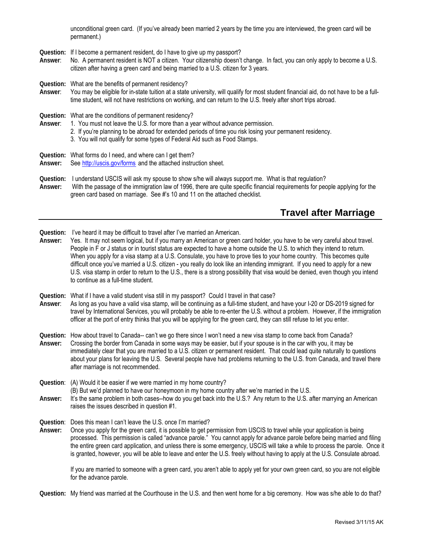unconditional green card. (If you've already been married 2 years by the time you are interviewed, the green card will be permanent.)

**Question:** If I become a permanent resident, do I have to give up my passport?

**Answer**: No. A permanent resident is NOT a citizen. Your citizenship doesn't change. In fact, you can only apply to become a U.S. citizen after having a green card and being married to a U.S. citizen for 3 years.

**Question:** What are the benefits of permanent residency?

**Answer**: You may be eligible for in-state tuition at a state university, will qualify for most student financial aid, do not have to be a fulltime student, will not have restrictions on working, and can return to the U.S. freely after short trips abroad.

**Question:** What are the conditions of permanent residency?

- **Answer**: 1. You must not leave the U.S. for more than a year without advance permission.
	- 2. If you're planning to be abroad for extended periods of time you risk losing your permanent residency.
	- 3. You will not qualify for some types of Federal Aid such as Food Stamps.
- **Question:** What forms do I need, and where can I get them?
- **Answer:** See [http://uscis.gov/](http://uscis.gov/forms)forms and the attached instruction sheet.
- **Question:** I understand USCIS will ask my spouse to show s/he will always support me. What is that regulation? **Answer:** With the passage of the immigration law of 1996, there are quite specific financial requirements for people applying for the green card based on marriage. See #'s 10 and 11 on the attached checklist.

## **Travel after Marriage**

**Question:** I've heard it may be difficult to travel after I've married an American.

**Answer:** Yes. It may not seem logical, but if you marry an American or green card holder, you have to be very careful about travel. People in F or J status or in tourist status are expected to have a home outside the U.S. to which they intend to return. When you apply for a visa stamp at a U.S. Consulate, you have to prove ties to your home country. This becomes quite difficult once you've married a U.S. citizen - you really do look like an intending immigrant. If you need to apply for a new U.S. visa stamp in order to return to the U.S., there is a strong possibility that visa would be denied, even though you intend to continue as a full-time student.

**Question:** What if I have a valid student visa still in my passport? Could I travel in that case?

**Answer**: As long as you have a valid visa stamp, will be continuing as a full-time student, and have your I-20 or DS-2019 signed for travel by International Services, you will probably be able to re-enter the U.S. without a problem. However, if the immigration officer at the port of entry thinks that you will be applying for the green card, they can still refuse to let you enter.

**Question:** How about travel to Canada-- can't we go there since I won't need a new visa stamp to come back from Canada?

**Answer:** Crossing the border from Canada in some ways may be easier, but if your spouse is in the car with you, it may be immediately clear that you are married to a U.S. citizen or permanent resident. That could lead quite naturally to questions about your plans for leaving the U.S. Several people have had problems returning to the U.S. from Canada, and travel there after marriage is not recommended.

**Question**: (A) Would it be easier if we were married in my home country?

(B) But we'd planned to have our honeymoon in my home country after we're married in the U.S.

**Answer:** It's the same problem in both cases--how do you get back into the U.S.? Any return to the U.S. after marrying an American raises the issues described in question #1.

**Question**: Does this mean I can't leave the U.S. once I'm married?

**Answer:** Once you apply for the green card, it is possible to get permission from USCIS to travel while your application is being processed. This permission is called "advance parole." You cannot apply for advance parole before being married and filing the entire green card application, and unless there is some emergency, USCIS will take a while to process the parole. Once it is granted, however, you will be able to leave and enter the U.S. freely without having to apply at the U.S. Consulate abroad.

If you are married to someone with a green card, you aren't able to apply yet for your own green card, so you are not eligible for the advance parole.

**Question:** My friend was married at the Courthouse in the U.S. and then went home for a big ceremony. How was s/he able to do that?